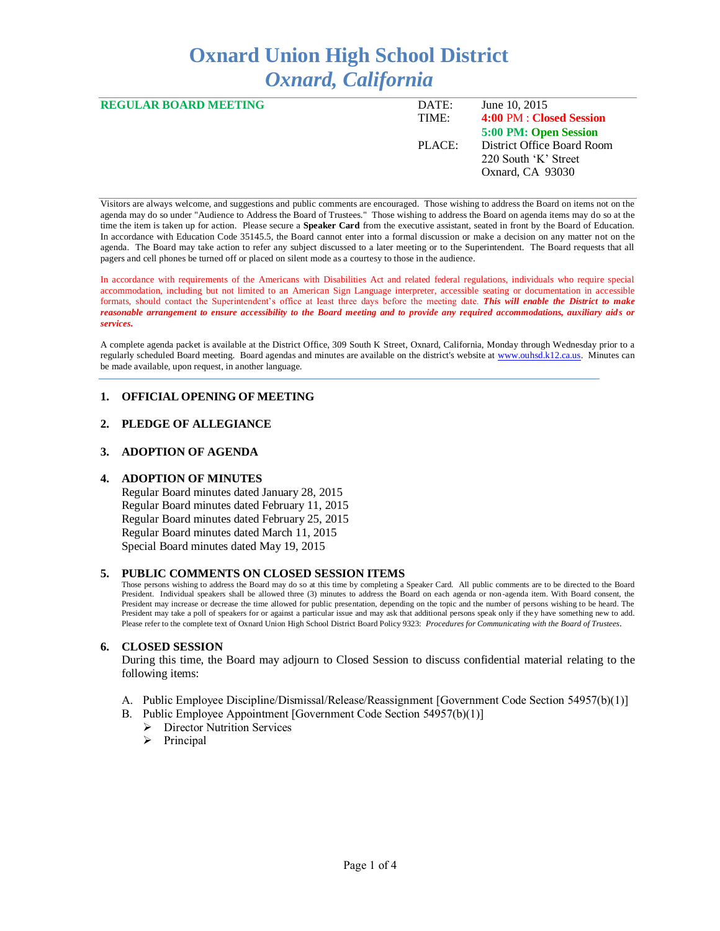# **Oxnard Union High School District** *Oxnard, California*

| <b>REGULAR BOARD MEETING</b> | DATE:  | June 10, 2015              |
|------------------------------|--------|----------------------------|
|                              | TIME:  | 4:00 PM : Closed Session   |
|                              |        | 5:00 PM: Open Session      |
|                              | PIACE: | District Office Board Room |
|                              |        | 220 South 'K' Street       |
|                              |        | Oxnard, CA 93030           |
|                              |        |                            |

Visitors are always welcome, and suggestions and public comments are encouraged. Those wishing to address the Board on items not on the agenda may do so under "Audience to Address the Board of Trustees." Those wishing to address the Board on agenda items may do so at the time the item is taken up for action. Please secure a **Speaker Card** from the executive assistant, seated in front by the Board of Education. In accordance with Education Code 35145.5, the Board cannot enter into a formal discussion or make a decision on any matter not on the agenda. The Board may take action to refer any subject discussed to a later meeting or to the Superintendent. The Board requests that all pagers and cell phones be turned off or placed on silent mode as a courtesy to those in the audience.

In accordance with requirements of the Americans with Disabilities Act and related federal regulations, individuals who require special accommodation, including but not limited to an American Sign Language interpreter, accessible seating or documentation in accessible formats, should contact the Superintendent's office at least three days before the meeting date. *This will enable the District to make reasonable arrangement to ensure accessibility to the Board meeting and to provide any required accommodations, auxiliary aids or services.* 

A complete agenda packet is available at the District Office, 309 South K Street, Oxnard, California, Monday through Wednesday prior to a regularly scheduled Board meeting. Board agendas and minutes are available on the district's website at [www.ouhsd.k12.ca.us.](http://www.ouhsd.k12.ca.us/)Minutes can be made available, upon request, in another language.

## **1. OFFICIAL OPENING OF MEETING**

#### **2. PLEDGE OF ALLEGIANCE**

#### **3. ADOPTION OF AGENDA**

#### **4. ADOPTION OF MINUTES**

Regular Board minutes dated January 28, 2015 Regular Board minutes dated February 11, 2015 Regular Board minutes dated February 25, 2015 Regular Board minutes dated March 11, 2015 Special Board minutes dated May 19, 2015

#### **5. PUBLIC COMMENTS ON CLOSED SESSION ITEMS**

Those persons wishing to address the Board may do so at this time by completing a Speaker Card. All public comments are to be directed to the Board President. Individual speakers shall be allowed three (3) minutes to address the Board on each agenda or non-agenda item. With Board consent, the President may increase or decrease the time allowed for public presentation, depending on the topic and the number of persons wishing to be heard. The President may take a poll of speakers for or against a particular issue and may ask that additional persons speak only if the y have something new to add. Please refer to the complete text of Oxnard Union High School District Board Policy 9323: *Procedures for Communicating with the Board of Trustees*.

#### **6. CLOSED SESSION**

During this time, the Board may adjourn to Closed Session to discuss confidential material relating to the following items:

- A. Public Employee Discipline/Dismissal/Release/Reassignment [Government Code Section 54957(b)(1)]
- B. Public Employee Appointment [Government Code Section 54957(b)(1)]
	- **Director Nutrition Services**
	- $\triangleright$  Principal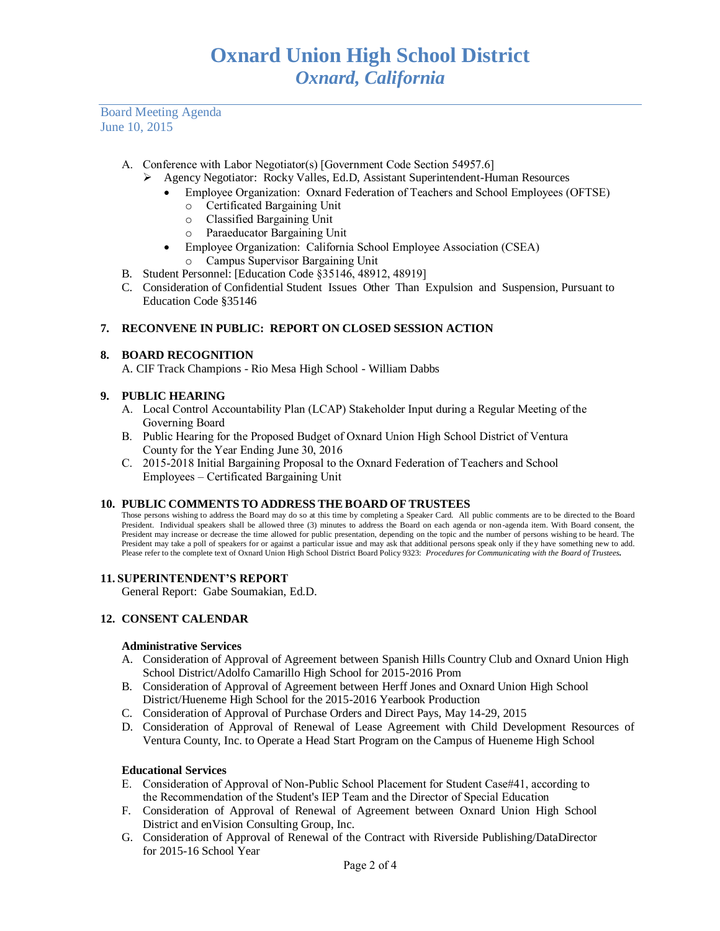Board Meeting Agenda June 10, 2015

- A. Conference with Labor Negotiator(s) [Government Code Section 54957.6]
	- Agency Negotiator: Rocky Valles, Ed.D, Assistant Superintendent-Human Resources
		- Employee Organization: Oxnard Federation of Teachers and School Employees (OFTSE)
			- o Certificated Bargaining Unit
			- o Classified Bargaining Unit
			- o Paraeducator Bargaining Unit
			- Employee Organization: California School Employee Association (CSEA)
			- o Campus Supervisor Bargaining Unit
- B. Student Personnel: [Education Code §35146, 48912, 48919]
- C. Consideration of Confidential Student Issues Other Than Expulsion and Suspension, Pursuant to Education Code §35146

#### **7. RECONVENE IN PUBLIC: REPORT ON CLOSED SESSION ACTION**

## **8. BOARD RECOGNITION**

A. CIF Track Champions - Rio Mesa High School - William Dabbs

#### **9. PUBLIC HEARING**

- A. Local Control Accountability Plan (LCAP) Stakeholder Input during a Regular Meeting of the Governing Board
- B. Public Hearing for the Proposed Budget of Oxnard Union High School District of Ventura County for the Year Ending June 30, 2016
- C. 2015-2018 Initial Bargaining Proposal to the Oxnard Federation of Teachers and School Employees – Certificated Bargaining Unit

#### **10. PUBLIC COMMENTS TO ADDRESS THE BOARD OF TRUSTEES**

Those persons wishing to address the Board may do so at this time by completing a Speaker Card. All public comments are to be directed to the Board President. Individual speakers shall be allowed three (3) minutes to address the Board on each agenda or non-agenda item. With Board consent, the President may increase or decrease the time allowed for public presentation, depending on the topic and the number of persons wishing to be heard. The President may take a poll of speakers for or against a particular issue and may ask that additional persons speak only if they have something new to add. Please refer to the complete text of Oxnard Union High School District Board Policy 9323: *Procedures for Communicating with the Board of Trustees.*

#### **11. SUPERINTENDENT'S REPORT**

General Report: Gabe Soumakian, Ed.D.

#### **12. CONSENT CALENDAR**

#### **Administrative Services**

- A. Consideration of Approval of Agreement between Spanish Hills Country Club and Oxnard Union High School District/Adolfo Camarillo High School for 2015-2016 Prom
- B. Consideration of Approval of Agreement between Herff Jones and Oxnard Union High School District/Hueneme High School for the 2015-2016 Yearbook Production
- C. Consideration of Approval of Purchase Orders and Direct Pays, May 14-29, 2015
- D. Consideration of Approval of Renewal of Lease Agreement with Child Development Resources of Ventura County, Inc. to Operate a Head Start Program on the Campus of Hueneme High School

#### **Educational Services**

- E. Consideration of Approval of Non-Public School Placement for Student Case#41, according to the Recommendation of the Student's IEP Team and the Director of Special Education
- F. Consideration of Approval of Renewal of Agreement between Oxnard Union High School District and enVision Consulting Group, Inc.
- G. Consideration of Approval of Renewal of the Contract with Riverside Publishing/DataDirector for 2015-16 School Year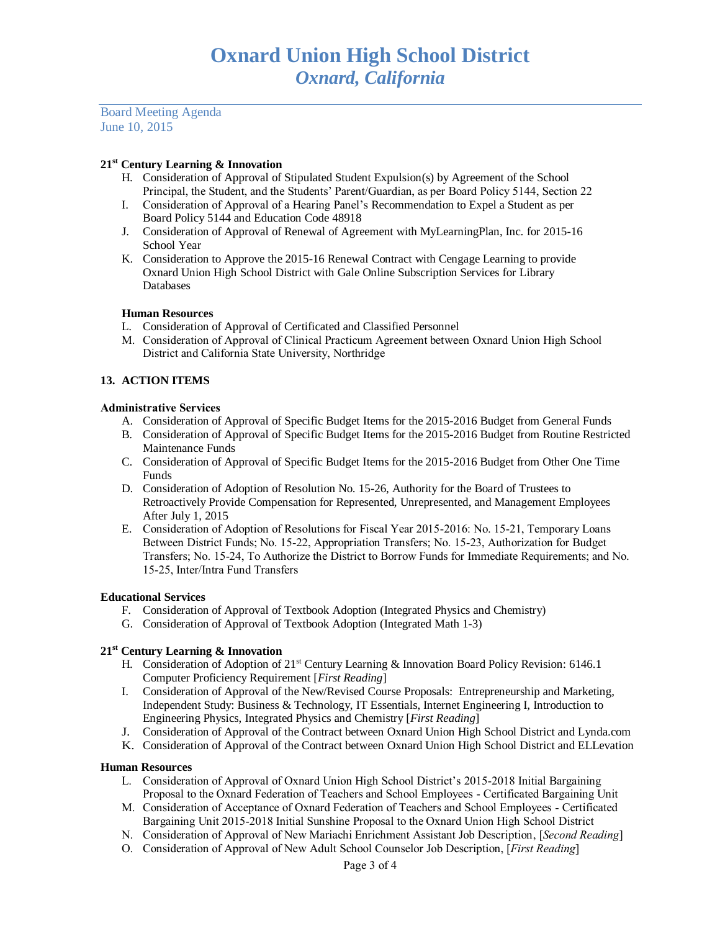Board Meeting Agenda June 10, 2015

## **21st Century Learning & Innovation**

- H. Consideration of Approval of Stipulated Student Expulsion(s) by Agreement of the School Principal, the Student, and the Students' Parent/Guardian, as per Board Policy 5144, Section 22
- I. Consideration of Approval of a Hearing Panel's Recommendation to Expel a Student as per Board Policy 5144 and Education Code 48918
- J. Consideration of Approval of Renewal of Agreement with MyLearningPlan, Inc. for 2015-16 School Year
- K. Consideration to Approve the 2015-16 Renewal Contract with Cengage Learning to provide Oxnard Union High School District with Gale Online Subscription Services for Library Databases

## **Human Resources**

- L. Consideration of Approval of Certificated and Classified Personnel
- M. Consideration of Approval of Clinical Practicum Agreement between Oxnard Union High School District and California State University, Northridge

## **13. ACTION ITEMS**

## **Administrative Services**

- A. Consideration of Approval of Specific Budget Items for the 2015-2016 Budget from General Funds
- B. Consideration of Approval of Specific Budget Items for the 2015-2016 Budget from Routine Restricted Maintenance Funds
- C. Consideration of Approval of Specific Budget Items for the 2015-2016 Budget from Other One Time Funds
- D. Consideration of Adoption of Resolution No. 15-26, Authority for the Board of Trustees to Retroactively Provide Compensation for Represented, Unrepresented, and Management Employees After July 1, 2015
- E. Consideration of Adoption of Resolutions for Fiscal Year 2015-2016: No. 15-21, Temporary Loans Between District Funds; No. 15-22, Appropriation Transfers; No. 15-23, Authorization for Budget Transfers; No. 15-24, To Authorize the District to Borrow Funds for Immediate Requirements; and No. 15-25, Inter/Intra Fund Transfers

## **Educational Services**

- F. Consideration of Approval of Textbook Adoption (Integrated Physics and Chemistry)
- G. Consideration of Approval of Textbook Adoption (Integrated Math 1-3)

## **21st Century Learning & Innovation**

- H. Consideration of Adoption of 21<sup>st</sup> Century Learning & Innovation Board Policy Revision: 6146.1 Computer Proficiency Requirement [*First Reading*]
- I. Consideration of Approval of the New/Revised Course Proposals: Entrepreneurship and Marketing, Independent Study: Business & Technology, IT Essentials, Internet Engineering I, Introduction to Engineering Physics, Integrated Physics and Chemistry [*First Reading*]
- J. Consideration of Approval of the Contract between Oxnard Union High School District and Lynda.com
- K. Consideration of Approval of the Contract between Oxnard Union High School District and ELLevation

## **Human Resources**

- L. Consideration of Approval of Oxnard Union High School District's 2015-2018 Initial Bargaining Proposal to the Oxnard Federation of Teachers and School Employees - Certificated Bargaining Unit
- M. Consideration of Acceptance of Oxnard Federation of Teachers and School Employees Certificated Bargaining Unit 2015-2018 Initial Sunshine Proposal to the Oxnard Union High School District
- N. Consideration of Approval of New Mariachi Enrichment Assistant Job Description, [*Second Reading*]
- O. Consideration of Approval of New Adult School Counselor Job Description, [*First Reading*]